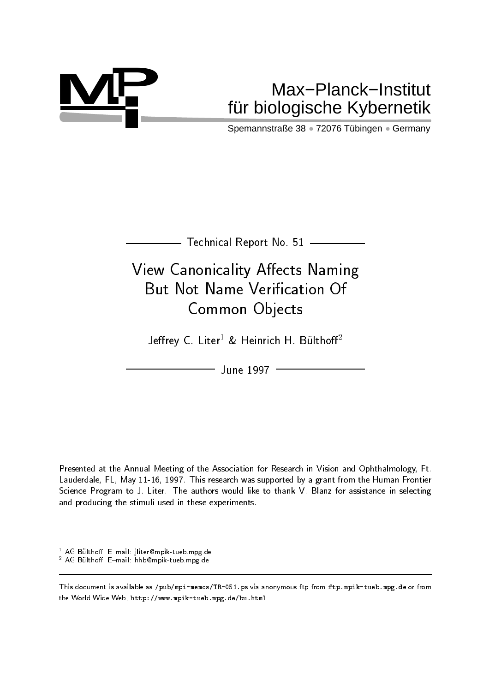

# **MP** Max−Planck−Institut fu¨r biologische Kybernetik

Spemannstraße 38 · 72076 Tübingen · Germany

 $-$  Technical Report No. 51  $\,$ 

# View Canonicality Affects Naming But Not Name Verication Of Common Objects

Jeffrey C. Liter<sup>1</sup> & Heinrich H. Bülthoff<sup>2</sup>

June 1997

Presented at the Annual Meeting of the Association for Research in Vision and Ophthalmology, Ft. Lauderdale, FL, May 11-16, 1997. This research was supported by a grant from the Human Frontier Science Program to J. Liter. The authors would like to thank V. Blanz for assistance in selecting and producing the stimuli used in these experiments.

" AG Bulthoff, E-mail: jliter@mpik-tueb.mpg.de

- AG Bulthoff, E=mail: hhb@mpik-tueb.mpg.de

This document is available as /pub/mpi-memos/TR-051.ps via anonymous ftp from ftp.mpik-tueb.mpg.de or from the World Wide Web, http://www.mpik-tueb.mpg.de/bu.html.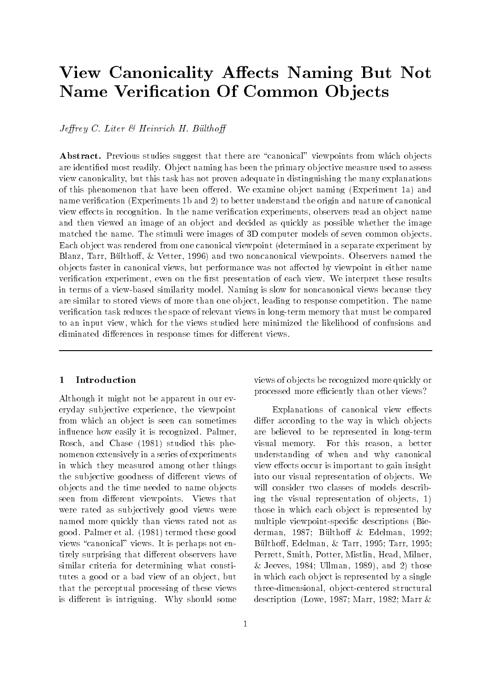# View Canonicality Affects Naming But Not Name Verification Of Common Objects

Jeffrey C. Liter  $\mathcal B$  Heinrich H. Bülthoff

Abstract. Previous studies suggest that there are "canonical" viewpoints from which objects are identied most readily. Ob ject naming has been the primary ob jective measure used to assess view canonicality, but this task has not proven adequate in distinguishing the many explanations of this phenomenon that have been offered. We examine object naming (Experiment 1a) and name verification (Experiments 1b and 2) to better understand the origin and nature of canonical view effects in recognition. In the name verification experiments, observers read an object name and then viewed an image of an ob ject and decided as quickly as possible whether the image matched the name. The stimuli were images of 3D computer models of seven common objects. Each ob ject was rendered from one canonical viewpoint (determined in a separate experiment by Blanz, Tarr, Bülthoff, & Vetter, 1996) and two noncanonical viewpoints. Observers named the objects faster in canonical views, but performance was not affected by viewpoint in either name verification experiment, even on the first presentation of each view. We interpret these results in terms of a view-based similarity model. Naming is slow for noncanonical views because they are similar to stored views of more than one ob ject, leading to response competition. The name verification task reduces the space of relevant views in long-term memory that must be compared to an input view, which for the views studied here minimized the likelihood of confusions and eliminated differences in response times for different views.

### <sup>1</sup> Introduction

Although it might not be apparent in our everyday sub jective experience, the viewpoint from which an ob ject is seen can sometimes influence how easily it is recognized. Palmer, Rosch, and Chase (1981) studied this phenomenon extensively in a series of experiments in which they measured among other things the subjective goodness of different views of ob jects and the time needed to name ob jects seen from different viewpoints. Views that were rated as subjectively good views were named more quickly than views rated not as good. Palmer et al. (1981) termed these good views "canonical" views. It is perhaps not entirely surprising that different observers have similar criteria for determining what constitutes a good or a bad view of an ob ject, but that the perceptual processing of these views is different is intriguing. Why should some

views of ob jects be recognized more quickly or processed more efficiently than other views?

Explanations of canonical view effects differ according to the way in which objects are believed to be represented in long-term visual memory. For this reason, a better understanding of when and why canonical view effects occur is important to gain insight into our visual representation of ob jects. We will consider two classes of models describing the visual representation of ob jects, 1) those in which each ob ject is represented by multiple viewpoint-specic descriptions (Biederman, 1987; Bülthoff & Edelman, 1992; Bülthoff, Edelman, & Tarr, 1995; Tarr, 1995; Perrett, Smith, Potter, Mistlin, Head, Milner, & Jeeves, 1984; Ullman, 1989), and 2) those in which each ob ject is represented by a single three-dimensional, ob ject-centered structural description (Lowe, 1987; Marr, 1982; Marr &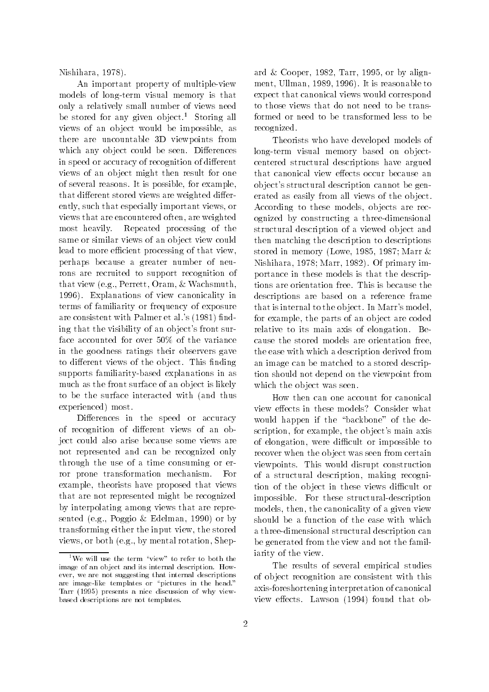Nishihara, 1978).

An important property of multiple-view models of long-term visual memory is that only a relatively small number of views need be stored for any given object.<sup>1</sup> Storing all views of an ob ject would be impossible, as there are uncountable 3D viewpoints from which any object could be seen. Differences in speed or accuracy of recognition of different views of an ob ject might then result for one of several reasons. It is possible, for example, that different stored views are weighted differently, such that especially important views, or views that are encountered often, are weighted most heavily. Repeated processing of the same or similar views of an ob ject view could lead to more efficient processing of that view, perhaps because a greater number of neurons are recruited to support recognition of that view (e.g., Perrett, Oram, & Wachsmuth, 1996). Explanations of view canonicality in terms of familiarity or frequency of exposure are consistent with Palmer et al.'s (1981) finding that the visibility of an ob ject's front surface accounted for over 50% of the variance in the goodness ratings their observers gave to different views of the object. This finding supports familiarity-based explanations in as much as the front surface of an ob ject is likely to be the surface interacted with (and thus experienced) most.

Differences in the speed or accuracy of recognition of different views of an object could also arise because some views are not represented and can be recognized only through the use of a time consuming or error prone transformation mechanism. For example, theorists have proposed that views that are not represented might be recognized by interpolating among views that are represented (e.g., Poggio & Edelman, 1990) or by transforming either the input view, the stored views, or both (e.g., by mental rotation, Shepard & Cooper, 1982, Tarr, 1995, or by alignment, Ullman, 1989, 1996). It is reasonable to expect that canonical views would correspond to those views that do not need to be transformed or need to be transformed less to be recognized.

Theorists who have developed models of long-term visual memory based on ob jectcentered structural descriptions have argued that canonical view effects occur because an ob ject's structural description cannot be generated as easily from all views of the ob ject. According to these models, ob jects are recognized by constructing a three-dimensional structural description of a viewed ob ject and then matching the description to descriptions stored in memory (Lowe, 1985, 1987; Marr & Nishihara, 1978; Marr, 1982). Of primary importance in these models is that the descriptions are orientation free. This is because the descriptions are based on a reference frame that is internal to the ob ject. In Marr's model, for example, the parts of an ob ject are coded relative to its main axis of elongation. Because the stored models are orientation free, the ease with which a description derived from an image can be matched to a stored description should not depend on the viewpoint from which the object was seen.

How then can one account for canonical view effects in these models? Consider what would happen if the "backbone" of the description, for example, the ob ject's main axis of elongation, were difficult or impossible to recover when the ob ject was seen from certain viewpoints. This would disrupt construction of a structural description, making recognition of the object in these views difficult or impossible. For these structural-description models, then, the canonicality of a given view should be a function of the ease with which a three-dimensional structural description can be generated from the view and not the familiarity of the view.

The results of several empirical studies of ob ject recognition are consistent with this axis-foreshortening interpretation of canonical view effects. Lawson (1994) found that ob-

 $^1\rm{We}$  will use the term "view" to refer to both the image of an object and its internal description. However, we are not suggesting that internal descriptions are image-like templates or "pictures in the head." Tarr (1995) presents a nice discussion of why viewbased descriptions are not templates.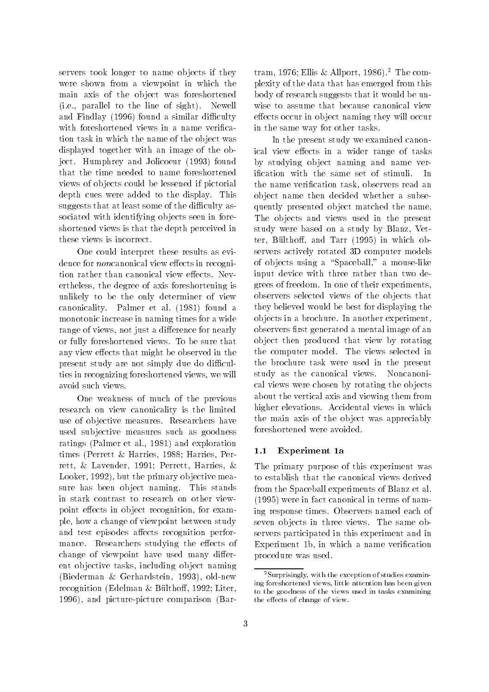servers took longer to name ob jects if they were shown from a viewpoint in which the main axis of the ob ject was foreshortened (i.e., parallel to the line of sight). Newell and Findlay (1996) found a similar difficulty with foreshortened views in a name verification task in which the name of the ob ject was displayed together with an image of the object. Humphrey and Jolicoeur (1993) found that the time needed to name foreshortened views of ob jects could be lessened if pictorial depth cues were added to the display. This suggests that at least some of the difficulty associated with identifying ob jects seen in foreshortened views is that the depth perceived in these views is incorrect.

One could interpret these results as evidence for *noncanonical* view effects in recognition rather than canonical view effects. Nevertheless, the degree of axis foreshortening is unlikely to be the only determiner of view canonicality. Palmer et al. (1981) found a monotonic increase in naming times for a wide range of views, not just a difference for nearly or fully foreshortened views. To be sure that any view effects that might be observed in the present study are not simply due do difficulties in recognizing foreshortened views, we will avoid such views.

One weakness of much of the previous research on view canonicality is the limited use of ob jective measures. Researchers have used sub jective measures such as goodness ratings (Palmer et al., 1981) and exploration times (Perrett & Harries, 1988; Harries, Perrett, & Lavender, 1991; Perrett, Harries, & Looker, 1992), but the primary ob jective measure has been ob ject naming. This stands in stark contrast to research on other viewpoint effects in object recognition, for example, howachange of viewpoint between study and test episodes affects recognition performance. Researchers studying the effects of change of viewpoint have used many different ob jective tasks, including ob ject naming (Biederman & Gerhardstein, 1993), old-new recognition (Edelman & Bülthoff, 1992; Liter, 1996), and picture-picture comparison (Bar-

tram, 1976; Ellis & Allport, 1986).<sup>2</sup> The complexity of the data that has emerged from this body of research suggests that it would be unwise to assume that because canonical view effects occur in object naming they will occur in the same way for other tasks.

In the present study we examined canonical view effects in a wider range of tasks by studying ob ject naming and name verication with the same set of stimuli. In the name verication task, observers read an ob ject name then decided whether a subsequently presented ob ject matched the name. The objects and views used in the present study were based on a study by Blanz, Vetter, Bülthoff, and Tarr (1995) in which observers actively rotated 3D computer models of objects using a "Spaceball," a mouse-like input device with three rather than two degrees of freedom. In one of their experiments, observers selected views of the ob jects that they believed would be best for displaying the ob jects in a brochure. In another experiment, observers first generated a mental image of an ob ject then produced that view by rotating the computer model. The views selected in the brochure task were used in the present study as the canonical views. Noncanonical views were chosen by rotating the ob jects about the vertical axis and viewing them from higher elevations. Accidental views in which the main axis of the ob ject was appreciably foreshortened were avoided.

#### Experiment 1a  $1.1$

The primary purpose of this experiment was to establish that the canonical views derived from the Spaceball experiments of Blanz et al. (1995) were in fact canonical in terms of naming response times. Observers named each of seven objects in three views. The same observers participated in this experiment and in Experiment 1b, in which a name verification procedure was used.

 $2$ Surprisingly, with the exception of studies examining foreshortened views, little attention has been given to the goodness of the views used in tasks examining the effects of change of view.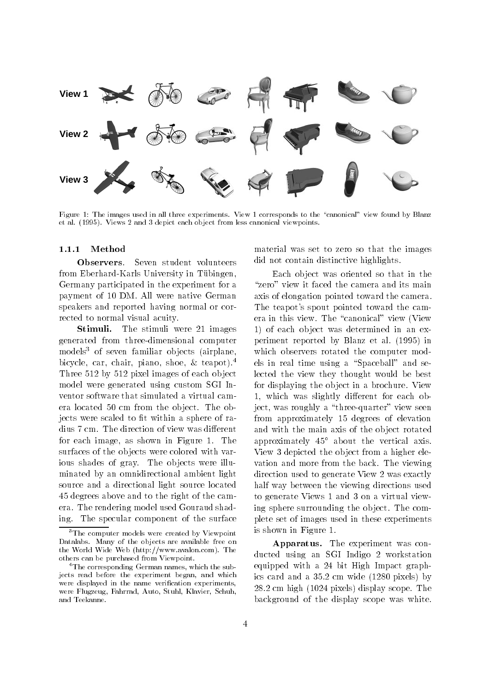

Figure 1: The images used in all three experiments. View 1 corresponds to the "canonical" view found by Blanz et al. (1995). Views 2 and 3 depict each ob ject from less canonical viewpoints.

#### $1.1.1$ Method

Observers. Seven student volunteers from Eberhard-Karls University in Tübingen, Germany participated in the experiment for a payment of 10 DM. All were native German speakers and reported having normal or corrected to normal visual acuity.

Stimuli. The stimuli were 21 images generated from three-dimensional computer models<sup>3</sup> of seven familiar objects (airplane, bicycle, car, chair, piano, shoe, & teapot).4 Three 512 by 512 pixel images of each ob ject model were generated using custom SGI Inventor software that simulated a virtual camera located 50 cm from the object. The objects were scaled to fit within a sphere of radius 7 cm. The direction of view was different for each image, as shown in Figure 1. The surfaces of the objects were colored with various shades of gray. The objects were illuminated by an omnidirectional ambient light source and a directional light source located 45 degrees above and to the right of the camera. The rendering model used Gouraud shading. The specular component of the surface

material was set to zero so that the images did not contain distinctive highlights.

Each ob ject was oriented so that in the "zero" view it faced the camera and its main axis of elongation pointed toward the camera. The teapot's spout pointed toward the camera in this view. The "canonical" view (View 1) of each ob ject was determined in an experiment reported by Blanz et al. (1995) in which observers rotated the computer models in real time using a "Spaceball" and selected the view they thought would be best for displaying the ob ject in a brochure. View 1, which was slightly different for each object, was roughly a "three-quarter" view seen from approximately 15 degrees of elevation and with the main axis of the ob ject rotated approximately  $45^{\circ}$  about the vertical axis. View 3 depicted the ob ject from a higher elevation and more from the back. The viewing direction used to generate View 2 was exactly half way between the viewing directions used to generate Views 1 and 3 on a virtual viewing sphere surrounding the ob ject. The complete set of images used in these experiments is shown in Figure 1.

Apparatus. The experiment was conducted using an SGI Indigo 2 workstation equipped with a 24 bit High Impact graphics card and a 35.2 cm wide (1280 pixels) by 28.2 cm high (1024 pixels) display scope. The background of the display scope was white.

<sup>&</sup>lt;sup>3</sup>The computer models were created by Viewpoint Datalabs. Many of the objects are available free on the World Wide Web (http://www.avalon.com). The others can be purchased from Viewpoint.

<sup>&</sup>lt;sup>4</sup>The corresponding German names, which the subjects read before the experiment began, and which jects read before the experiment began, and which were displayed in the name verification experiments, were Flugzeug, Fahrrad, Auto, Stuhl, Klavier, Schuh, and Teekanne.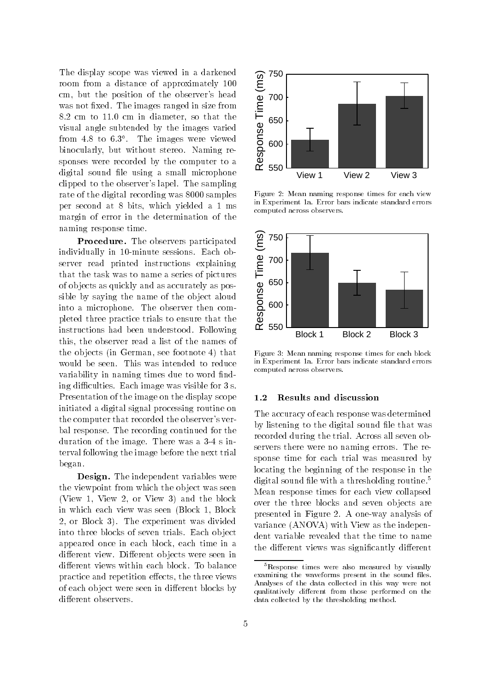The display scope was viewed in a darkened room from a distance of approximately 100 cm, but the position of the observer's head The display scope was viewed in a darkened<br>room from a distance of approximately 100<br>cm, but the position of the observer's head<br>was not fixed. The images ranged in size from<br>8.2 cm to 11.0 cm in diameter, so that the<br>vis 8.2 cm to 11.0 cm in diameter, so that the visual angle subtended by the images varied from 4.8 to 6.3 . The images were viewed binocularly, but without stereo. Naming responses were recorded by the computer to a digital sound file using a small microphone clipped to the observer's lapel. The sampling rate of the digital recording was 8000 samples per second at 8 bits, which yielded a 1 ms margin of error in the determination of the naming response time.

Procedure. The observers participated individually in 10-minute sessions. Each observer read printed instructions explaining that the task was to name a series of pictures of ob jects as quickly and as accurately as possible by saying the name of the ob ject aloud into a microphone. The observer then completed three practice trials to ensure that the instructions had been understood. Following this, the observer read a list of the names of the ob jects (in German, see footnote 4) that would be seen. This was intended to reduce variability in naming times due to word finding difficulties. Each image was visible for 3 s. Presentation of the image on the display scope initiated a digital signal processing routine on the computer that recorded the observer's verbal response. The recording continued for the duration of the image. There was a 3-4 s interval following the image before the next trial began.

Design. The independent variables were the viewpoint from which the ob ject was seen (View 1, View 2, or View 3) and the block in which each view was seen (Block 1, Block 2, or Block 3). The experiment was divided into three blocks of seven trials. Each ob ject appeared once in each block, each time in a different view. Different objects were seen in different views within each block. To balance practice and repetition effects, the three views of each object were seen in different blocks by different observers.



Figure 2: Mean naming response times for each view in Experiment 1a. Error bars indicate standard errors computed across observers.



Figure 3: Mean naming response times for each block in Experiment 1a. Error bars indicate standard errors computed across observers.

#### 1.2 Results and discussion

The accuracy of each response was determined by listening to the digital sound file that was recorded during the trial. Across all seven observers there were no naming errors. The response time for each trial was measured by locating the beginning of the response in the digital sound file with a thresholding routine.<sup>5</sup> Mean response times for each view collapsed over the three blocks and seven ob jects are presented in Figure 2. A one-way analysis of variance (ANOVA) with View as the independent variable revealed that the time to name the different views was significantly different

<sup>5</sup>Response times were also measured by visually examining the waveforms present in the sound files. Analyses of the data collected in this way were not qualitatively different from those performed on the data collected by the thresholding method.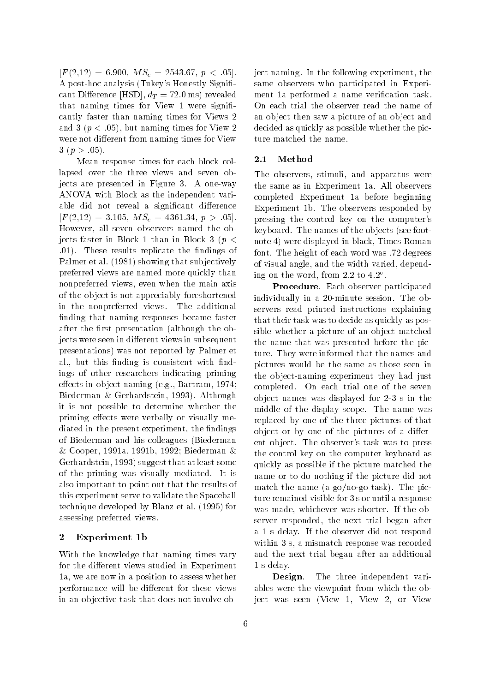$[F(2,12) = 6.900, M S_e = 2543.67, p < .05].$ A post-hoc analysis (Tukey's Honestly Signi cant Difference [HSD],  $d_T = 72.0$  ms) revealed that naming times for View 1 were signi cantly faster than naming times for Views 2 and 3 ( $p < .05$ ), but naming times for View 2 were not different from naming times for View  $3 (p > .05)$ .

Mean response times for each block collapsed over the three views and seven objects are presented in Figure 3. A one-way ANOVA with Block as the independent variable did not reveal a significant difference  $[F(2,12) = 3.105, M S_e = 4361.34, p > .05].$ However, all seven observers named the objects faster in Block 1 than in Block 3 ( $p <$ .01). These results replicate the ndings of Palmer et al. (1981) showing that sub jectively preferred views are named more quickly than nonpreferred views, even when the main axis of the ob ject is not appreciably foreshortened in the nonpreferred views. The additional finding that naming responses became faster after the first presentation (although the objects were seen in different views in subsequent presentations) was not reported by Palmer et al., but this finding is consistent with findings of other researchers indicating priming effects in object naming  $(e.g.,$  Bartram, 1974; Biederman & Gerhardstein, 1993). Although it is not possible to determine whether the priming effects were verbally or visually mediated in the present experiment, the findings of Biederman and his colleagues (Biederman & Cooper, 1991a, 1991b, 1992; Biederman & Gerhardstein, 1993) suggest that at least some of the priming was visually mediated. It is also important to point out that the results of this experiment serve to validate the Spaceball technique developed by Blanz et al. (1995) for assessing preferred views.

## <sup>2</sup> Experiment 1b

With the knowledge that naming times vary for the different views studied in Experiment 1a, we are now in a position to assess whether performance will be different for these views in an ob jective task that does not involve object naming. In the following experiment, the same observers who participated in Experiment 1a performed a name verication task. On each trial the observer read the name of an ob ject then saw a picture of an ob ject and decided as quickly as possible whether the picture matched the name.

#### $2.1$ Method

The observers, stimuli, and apparatus were the same as in Experiment 1a. All observers completed Experiment 1a before beginning Experiment 1b. The observers responded by pressing the control key on the computer's keyboard. The names of the ob jects (see footnote 4) were displayed in black, Times Roman font. The height of each word was .72 degrees of visual angle, and the width varied, depending on the word, from 2.2 to 4.2 .

Procedure. Each observer participated individually in a 20-minute session. The observers read printed instructions explaining that their task was to decide as quickly as possible whether a picture of an ob ject matched the name that was presented before the picture. They were informed that the names and pictures would be the same as those seen in the ob ject-naming experiment they had just completed. On each trial one of the seven ob ject names was displayed for 2-3 s in the middle of the display scope. The name was replaced by one of the three pictures of that object or by one of the pictures of a different ob ject. The observer's task was to press the control key on the computer keyboard as quickly as possible if the picture matched the name or to do nothing if the picture did not match the name (a go/no-go task). The picture remained visible for 3 s or until a response was made, whichever was shorter. If the observer responded, the next trial began after a 1 s delay. If the observer did not respond within 3 s, a mismatch response was recorded and the next trial began after an additional 1 s delay.

Design. The three independent variables were the viewpoint from which the object was seen (View 1, View 2, or View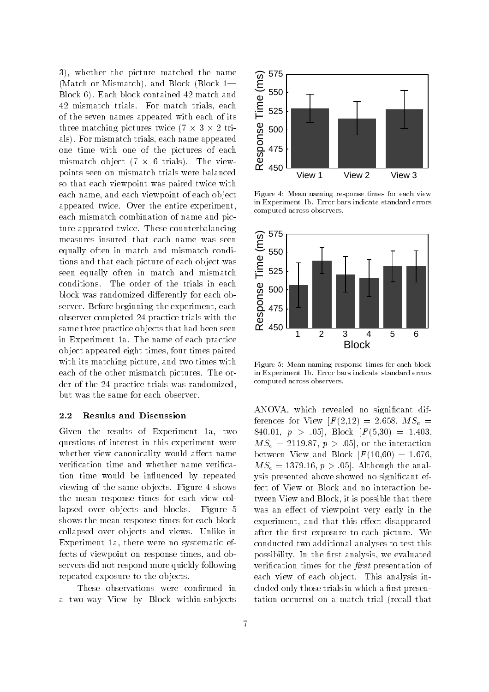3), whether the picture matched the name 3), whether the picture matched the name<br>
(Match or Mismatch), and Block (Block 1—<br>
Block 6). Each block contained 42 match and<br>
42 mismatch trials. For match trials, each<br>
of the seven names appeared with each of its<br>
th Block 6). Each block contained 42 match and 42 mismatch trials. For match trials, each of the seven names appeared with each of its three matching pictures twice (7 - 3 - 2 trials). For mismatch trials, each name appeared one time with one of the pictures of each mismatch ob ject (7 - 6 trials). The viewpoints seen on mismatch trials were balanced so that each viewpoint was paired twice with each name, and each viewpoint of each ob ject appeared twice. Over the entire experiment, each mismatch combination of name and picture appeared twice. These counterbalancing measures insured that each name was seen equally often in match and mismatch conditions and that each picture of each ob ject was seen equally often in match and mismatch conditions. The order of the trials in each block was randomized differently for each observer. Before beginning the experiment, each observer completed 24 practice trials with the same three practice ob jects that had been seen in Experiment 1a. The name of each practice ob ject appeared eight times, four times paired with its matching picture, and two times with each of the other mismatch pictures. The order of the 24 practice trials was randomized, but was the same for each observer.

#### 2.2 Results and Discussion

Given the results of Experiment 1a, two questions of interest in this experiment were whether view canonicality would affect name verification time and whether name verification time would be influenced by repeated viewing of the same ob jects. Figure 4 shows the mean response times for each view collapsed over ob jects and blocks. Figure 5 shows the mean response times for each block collapsed over ob jects and views. Unlike in Experiment 1a, there were no systematic effects of viewpoint on response times, and observers did not respond more quickly following repeated exposure to the ob jects.

These observations were confirmed in a two-way View by Block within-sub jects



Figure 4: Mean naming response times for each view in Experiment 1b. Error bars indicate standard errors computed across observers.



Figure 5: Mean naming response times for each block in Experiment 1b. Error bars indicate standard errors computed across observers.

ANOVA, which revealed no signicant differences for View  $[F(2,12) = 2.658, MS_e =$ 840.01,  $p > .05$ , Block  $[F(5,30) = 1.403,$  $MS_e = 2119.87, p > .05$ , or the interaction between View and Block  $F(10,60) = 1.676$ ,  $MS_e = 1379.16, p > .05$ . Although the analysis presented above showed no signicant effect of View or Block and no interaction between View and Block, it is possible that there was an effect of viewpoint very early in the experiment, and that this effect disappeared after the first exposure to each picture. We conducted two additional analyses to test this possibility. In the first analysis, we evaluated verification times for the *first* presentation of each view of each ob ject. This analysis included only those trials in which a first presentation occurred on a match trial (recall that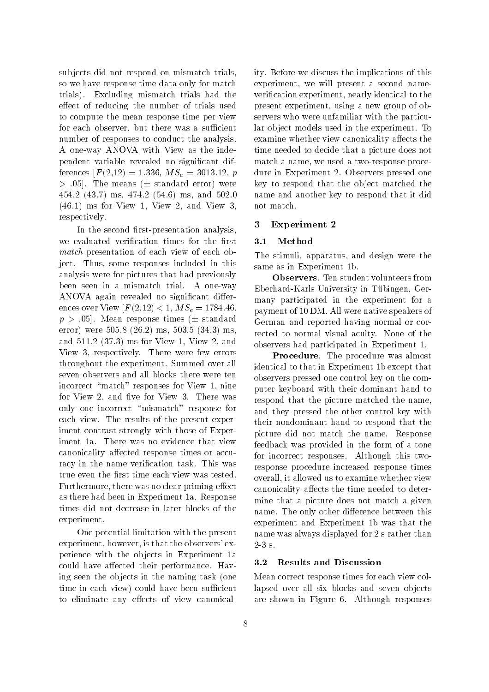sub jects did not respond on mismatch trials, so we have response time data only for match trials). Excluding mismatch trials had the effect of reducing the number of trials used to compute the mean response time per view for each observer, but there was a sufficient number of responses to conduct the analysis. A one-way ANOVA with View as the independent variable revealed no signicant differences  $[F(2,12) = 1.336, MS_e = 3013.12, p]$  $> .05$ . The means ( $\pm$  standard error) were 454.2 (43.7) ms, 474.2 (54.6) ms, and 502.0 (46.1) ms for View 1, View 2, and View 3, respectively.

In the second first-presentation analysis, we evaluated verification times for the first match presentation of each view of each object. Thus, some responses included in this analysis were for pictures that had previously been seen in a mismatch trial. A one-way ANOVA again revealed no significant differences over View  $[F(2,12) < 1, MS_e = 1784.46]$  $p > .05$ . Mean response times ( $\pm$  standard error) were 505.8 (26.2) ms, 503.5 (34.3) ms, and 511.2 (37.3) ms for View 1, View 2, and View 3, respectively. There were few errors throughout the experiment. Summed over all seven observers and all blocks there were ten incorrect "match" responses for View 1, nine for View 2, and five for View 3. There was only one incorrect \mismatch" response for each view. The results of the present experiment contrast strongly with those of Experiment 1a. There was no evidence that view canonicality affected response times or accuracy in the name verification task. This was true even the first time each view was tested. Furthermore, there was no clear priming effect as there had been in Experiment 1a. Response times did not decrease in later blocks of the experiment.

One potential limitation with the present experiment, however, is that the observers' experience with the ob jects in Experiment 1a could have affected their performance. Having seen the ob jects in the naming task (one time in each view) could have been sufficient to eliminate any effects of view canonicality. Before we discuss the implications of this experiment, we will present a second nameverification experiment, nearly identical to the present experiment, using a new group of observers who were unfamiliar with the particular ob ject models used in the experiment. To examine whether view canonicality affects the time needed to decide that a picture does not match a name, we used a two-response procedure in Experiment 2. Observers pressed one key to respond that the ob ject matched the name and another key to respond that it did not match.

#### <sup>3</sup> Experiment 2

#### 3.1 Method  $3.1$

The stimuli, apparatus, and design were the same as in Experiment 1b.

Observers. Ten student volunteers from Eberhard-Karls University in Tubingen, Germany participated in the experiment for a payment of 10 DM. All were native speakers of German and reported having normal or corrected to normal visual acuity. None of the observers had participated in Experiment 1.

Procedure. The procedure was almost identical to that in Experiment 1b except that observers pressed one control key on the computer keyboard with their dominant hand to respond that the picture matched the name, and they pressed the other control key with their nondominant hand to respond that the picture did not match the name. Response feedback was provided in the form of a tone for incorrect responses. Although this tworesponse procedure increased response times overall, it allowed us to examine whether view canonicality affects the time needed to determine that a picture does not match a given name. The only other difference between this experiment and Experiment 1b was that the name was always displayed for 2 s rather than  $2-3$  s.

## 3.2 Results and Discussion

Mean correct response times for each view collapsed over all six blocks and seven ob jects are shown in Figure 6. Although responses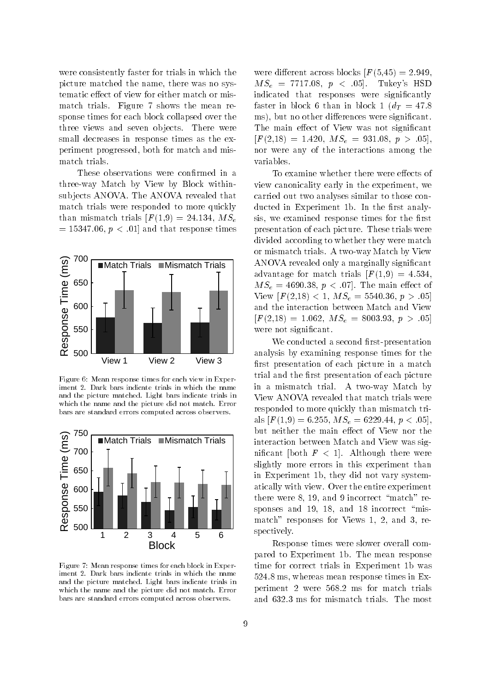were consistently faster for trials in which the picture matched the name, there was no systematic effect of view for either match or mismatch trials. Figure 7 shows the mean response times for each block collapsed over the three views and seven ob jects. There were small decreases in response times as the experiment progressed, both for match and mismatch trials.

These observations were confirmed in a three-way Match by View by Block withinsub jects ANOVA. The ANOVA revealed that match trials were responded to more quickly than mismatch trials  $[F(1,9) = 24.134, MS_e]$  $= 15347.06, p < .01$  and that response times



Figure 6: Mean response times for each view in Experiment 2. Dark bars indicate trials in which the name and the picture matched. Light bars indicate trials in which the name and the picture did not match. Error bars are standard errors computed across observers.



Figure 7: Mean response times for each block in Experiment 2. Dark bars indicate trials in which the name and the picture matched. Light bars indicate trials in which the name and the picture did not match. Error bars are standard errors computed across observers.

were different across blocks  $F(5,45) = 2.949$ .  $MS_e = 7717.08, p < .05$ . Tukey's HSD indicated that responses were significantly faster in block 6 than in block 1 ( $d_T = 47.8$ ) ms), but no other differences were significant. The main effect of View was not significant  $[F(2,18) = 1.420, MS_e = 931.08, p > .05],$ nor were any of the interactions among the variables.

To examine whether there were effects of view canonicality early in the experiment, we carried out two analyses similar to those conducted in Experiment 1b. In the first analysis, we examined response times for the first presentation of each picture. These trials were divided according to whether they were match or mismatch trials. A two-way Match by View ANOVA revealed only a marginally signicant advantage for match trials  $[F(1,9) = 4.534,$  $MS_e = 4690.38, p < .07$ . The main effect of View  $[F(2,18) < 1, MS_e = 5540.36, p > .05]$ and the interaction between Match and View  $[F(2,18) = 1.062, M S_e = 8003.93, p > .05]$ were not signicant.

We conducted a second first-presentation analysis by examining response times for the first presentation of each picture in a match trial and the first presentation of each picture in a mismatch trial. A two-way Match by View ANOVA revealed that match trials were responded to more quickly than mismatch trials  $[F(1,9) = 6.255, MS_e = 6229.44, p < .05]$ , but neither the main effect of View nor the interaction between Match and View was significant [both  $F < 1$ ]. Although there were slightly more errors in this experiment than in Experiment 1b, they did not vary systematically with view. Over the entire experiment there were 8, 19, and 9 incorrect "match" responses and 19, 18, and 18 incorrect  $\mathrm{``mis}$ match" responses for Views 1, 2, and 3, respectively.

Response times were slower overall compared to Experiment 1b. The mean response time for correct trials in Experiment 1b was 524.8 ms, whereas mean response times in Experiment 2 were 568.2 ms for match trials and 632.3 ms for mismatch trials. The most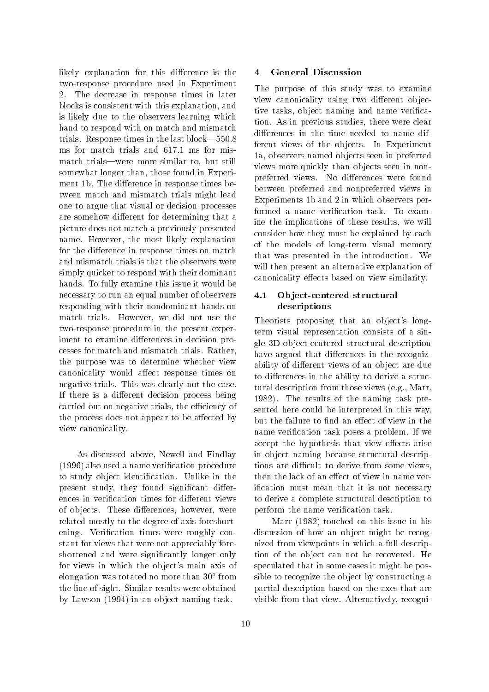likely explanation for this difference is the two-response procedure used in Experiment 2. The decrease in response times in later blocks is consistent with this explanation, and is likely due to the observers learning which hand to respond with on match and mismatch trials. Response times in the last block-550.8 ms for match trials and 617.1 ms for mismatch trials—were more similar to, but still somewhat longer than, those found in Experiment 1b. The difference in response times between match and mismatch trials might lead one to argue that visual or decision processes are somehow different for determining that a picture does not match a previously presented name. However, the most likely explanation for the difference in response times on match and mismatch trials is that the observers were simply quicker to respond with their dominant hands. To fully examine this issue it would be necessary to run an equal number of observers responding with their nondominant hands on match trials. However, we did not use the two-response procedure in the present experiment to examine differences in decision processes for match and mismatch trials. Rather, the purpose was to determine whether view canonicality would affect response times on negative trials. This was clearly not the case. If there is a different decision process being carried out on negative trials, the efficiency of the process does not appear to be affected by view canonicality.

As discussed above, Newell and Findlay (1996) also used a name verication procedure to study ob ject identication. Unlike in the present study, they found significant differences in verification times for different views of objects. These differences, however, were related mostly to the degree of axis foreshortening. Verification times were roughly constant for views that were not appreciably foreshortened and were signicantly longer only for views in which the ob ject's main axis of elongation was rotated no more than 30 from the line of sight. Similar results were obtained by Lawson (1994) in an ob ject naming task.

#### **General Discussion**  $\overline{\mathbf{4}}$

The purpose of this study was to examine view canonicality using two different objective tasks, ob ject naming and name verication. As in previous studies, there were clear differences in the time needed to name different views of the ob jects. In Experiment 1a, observers named ob jects seen in preferred views more quickly than ob jects seen in nonpreferred views. No differences were found between preferred and nonpreferred views in Experiments 1b and 2 in which observers performed a name verication task. To examine the implications of these results, we will consider how they must be explained by each of the models of long-term visual memory that was presented in the introduction. We will then present an alternative explanation of canonicality effects based on view similarity.

# 4.1 Ob ject-centered structural descriptions

Theorists proposing that an object's longterm visual representation consists of a single 3D ob ject-centered structural description have argued that differences in the recognizability of different views of an object are due to differences in the ability to derive a structural description from those views (e.g., Marr, 1982). The results of the naming task presented here could be interpreted in this way, but the failure to find an effect of view in the name verification task poses a problem. If we accept the hypothesis that view effects arise in ob ject naming because structural descriptions are difficult to derive from some views. then the lack of an effect of view in name verification must mean that it is not necessary to derive a complete structural description to perform the name verification task.

Marr (1982) touched on this issue in his discussion of how an object might be recognized from viewpoints in which a full description of the ob ject can not be recovered. He speculated that in some cases it might be possible to recognize the ob ject by constructing a partial description based on the axes that are visible from that view. Alternatively, recogni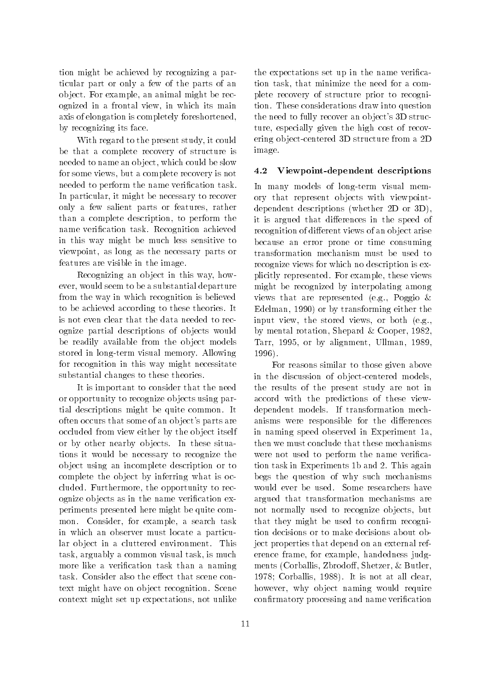tion might be achieved by recognizing a particular part or only a few of the parts of an ob ject. For example, an animal might be recognized in a frontal view, in which its main axis of elongation is completely foreshortened, by recognizing its face.

With regard to the present study, it could be that a complete recovery of structure is needed to name an ob ject, which could be slow for some views, but a complete recovery is not needed to perform the name verification task. In particular, it might be necessary to recover only a few salient parts or features, rather than a complete description, to perform the name verification task. Recognition achieved in this way might be much less sensitive to viewpoint, as long as the necessary parts or features are visible in the image.

Recognizing an ob ject in this way, however, would seem to be a substantial departure from the way in which recognition is believed to be achieved according to these theories. It is not even clear that the data needed to recognize partial descriptions of ob jects would be readily available from the object models stored in long-term visual memory. Allowing for recognition in this way might necessitate substantial changes to these theories.

It is important to consider that the need or opportunity to recognize ob jects using partial descriptions might be quite common. It often occurs that some of an ob ject's parts are occluded from view either by the ob ject itself or by other nearby ob jects. In these situations it would be necessary to recognize the ob ject using an incomplete description or to complete the ob ject by inferring what is occluded. Furthermore, the opportunity to recognize ob jects as in the name verication experiments presented here might be quite common. Consider, for example, a search task in which an observer must locate a particular ob ject in a cluttered environment. This task, arguably a common visual task, is much more like a verification task than a naming task. Consider also the effect that scene context might have on ob ject recognition. Scene context might set up expectations, not unlike

the expectations set up in the name verification task, that minimize the need for a complete recovery of structure prior to recognition. These considerations draw into question the need to fully recover an ob ject's 3D structure, especially given the high cost of recovering ob ject-centered 3D structure from a 2D image.

#### 4.2 Viewpoint-dependent descriptions

In many models of long-term visual memory that represent ob jects with viewpointdependent descriptions (whether 2D or 3D), it is argued that differences in the speed of recognition of different views of an object arise because an error prone or time consuming transformation mechanism must be used to recognize views for which no description is explicitly represented. For example, these views might be recognized by interpolating among views that are represented (e.g., Poggio & Edelman, 1990) or by transforming either the input view, the stored views, or both (e.g., by mental rotation, Shepard & Cooper, 1982, Tarr, 1995, or by alignment, Ullman, 1989, 1996).

For reasons similar to those given above in the discussion of ob ject-centered models, the results of the present study are not in accord with the predictions of these viewdependent models. If transformation mechanisms were responsible for the differences in naming speed observed in Experiment 1a, then we must conclude that these mechanisms were not used to perform the name verification task in Experiments 1b and 2. This again begs the question of why such mechanisms would ever be used. Some researchers have argued that transformation mechanisms are not normally used to recognize ob jects, but that they might be used to confirm recognition decisions or to make decisions about object properties that depend on an external reference frame, for example, handedness judgments (Corballis, Zbrodoff, Shetzer, & Butler, 1978; Corballis, 1988). It is not at all clear, however, why ob ject naming would require confirmatory processing and name verification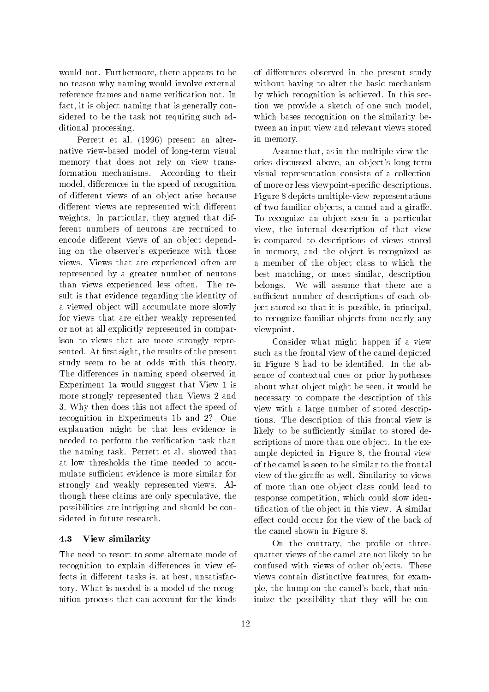would not. Furthermore, there appears to be no reason why naming would involve external reference frames and name verication not. In fact, it is ob ject naming that is generally considered to be the task not requiring such additional processing.

Perrett et al. (1996) present an alternative view-based model of long-term visual memory that does not rely on view transformation mechanisms. According to their model, differences in the speed of recognition of different views of an object arise because different views are represented with different weights. In particular, they argued that different numbers of neurons are recruited to encode different views of an object depending on the observer's experience with those views. Views that are experienced often are represented by a greater number of neurons than views experienced less often. The result is that evidence regarding the identity of a viewed ob ject will accumulate more slowly for views that are either weakly represented or not at all explicitly represented in comparison to views that are more strongly represented. At first sight, the results of the present study seem to be at odds with this theory. The differences in naming speed observed in Experiment 1a would suggest that View 1 is more strongly represented than Views 2 and 3. Why then does this not affect the speed of recognition in Experiments 1b and 2? One explanation might be that less evidence is needed to perform the verification task than the naming task. Perrett et al. showed that at low thresholds the time needed to accumulate sufficient evidence is more similar for strongly and weakly represented views. Although these claims are only speculative, the possibilities are intriguing and should be considered in future research.

#### 4.3 View similarity

The need to resort to some alternate mode of recognition to explain differences in view effects in different tasks is, at best, unsatisfactory. What is needed is a model of the recognition process that can account for the kinds

of differences observed in the present study without having to alter the basic mechanism by which recognition is achieved. In this section we provide a sketch of one such model, which bases recognition on the similarity between an input view and relevant views stored in memory.

Assume that, as in the multiple-view theories discussed above, an ob ject's long-term visual representation consists of a collection of more or less viewpoint-specic descriptions. Figure 8 depicts multiple-view representations of two familiar objects, a camel and a giraffe. To recognize an ob ject seen in a particular view, the internal description of that view is compared to descriptions of views stored in memory, and the ob ject is recognized as a member of the ob ject class to which the best matching, or most similar, description belongs. We will assume that there are a sufficient number of descriptions of each object stored so that it is possible, in principal, to recognize familiar ob jects from nearly any viewpoint.

Consider what might happen if a view such as the frontal view of the camel depicted in Figure 8 had to be identied. In the absence of contextual cues or prior hypotheses about what ob ject might be seen, it would be necessary to compare the description of this view with a large number of stored descriptions. The description of this frontal view is likely to be sufficiently similar to stored descriptions of more than one ob ject. In the example depicted in Figure 8, the frontal view of the camel is seen to be similar to the frontal view of the giraffe as well. Similarity to views of more than one ob ject class could lead to response competition, which could slow identication of the ob ject in this view. A similar effect could occur for the view of the back of the camel shown in Figure 8.

On the contrary, the profile or threequarter views of the camel are not likely to be confused with views of other ob jects. These views contain distinctive features, for example, the hump on the camel's back, that minimize the possibility that they will be con-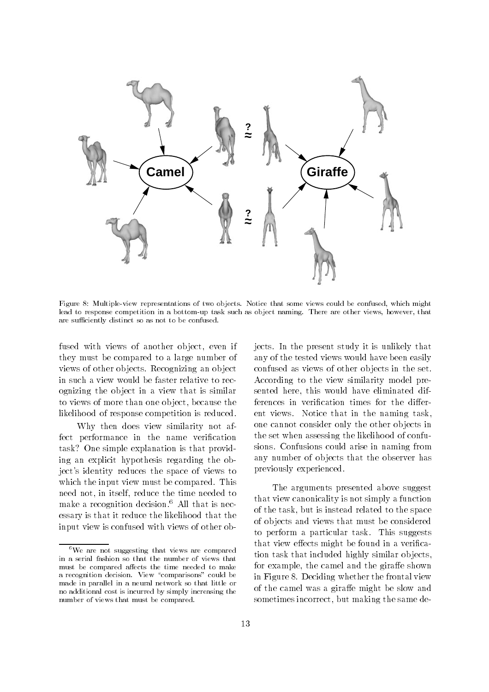

Figure 8: Multiple-view representations of two objects. Notice that some views could be confused, which might lead to response competition in a bottom-up task such as ob ject naming. There are other views, however, that are sufficiently distinct so as not to be confused.

fused with views of another ob ject, even if they must be compared to a large number of views of other ob jects. Recognizing an ob ject in such a view would be faster relative to recognizing the ob ject in a view that is similar to views of more than one ob ject, because the likelihood of response competition is reduced.

Why then does view similarity not affect performance in the name verification task? One simple explanation is that providing an explicit hypothesis regarding the object's identity reduces the space of views to which the input view must be compared. This need not, in itself, reduce the time needed to make a recognition decision.<sup>6</sup> All that is necessary is that it reduce the likelihood that the input view is confused with views of other objects. In the present study it is unlikely that any of the tested views would have been easily confused as views of other ob jects in the set. According to the view similarity model presented here, this would have eliminated differences in verification times for the different views. Notice that in the naming task, one cannot consider only the other ob jects in the set when assessing the likelihood of confusions. Confusions could arise in naming from any number of ob jects that the observer has previously experienced.

The arguments presented above suggest that view canonicality is not simply a function of the task, but is instead related to the space of ob jects and views that must be considered to perform a particular task. This suggests that view effects might be found in a verification task that included highly similar ob jects, for example, the camel and the giraffe shown in Figure 8. Deciding whether the frontal view of the camel was a giraffe might be slow and sometimes incorrect, but making the same de-

 $^6\mathrm{We}$  are not suggesting that views are compared in a serial fashion so that the number of views that must be compared affects the time needed to make a recognition decision. View "comparisons" could be made in parallel in a neural network so that little or no additional cost is incurred by simply increasing the number of views that must be compared.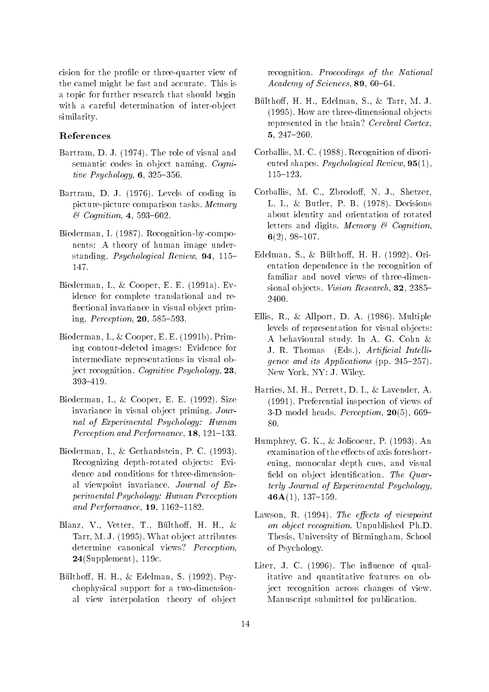cision for the profile or three-quarter view of the camel might be fast and accurate. This is a topic for further research that should begin with a careful determination of inter-ob ject similarity.

# References

- Bartram, D. J. (1974). The role of visual and semantic codes in object naming. Cognitive Psychology,  $6, 325-356$ .
- Bartram, D. J. (1976). Levels of coding in picture-picture comparison tasks. Memory  $\&$  Cognition, 4, 593-602.
- Biederman, I. (1987). Recognition-by-components: A theory of human image understanding. Psychological Review,  $94, 115-$ 147.
- Biederman, I., & Cooper, E. E. (1991a). Evidence for complete translational and re flectional invariance in visual object priming. Perception,  $20, 585-593$ .
- Biederman, I., & Cooper, E. E. (1991b). Priming contour-deleted images: Evidence for intermediate representations in visual object recognition. Cognitive Psychology, 23, 393{419.
- Biederman, I., & Cooper, E. E. (1992). Size invariance in visual ob ject priming. Journal of Experimental Psychology: Human Perception and Performance,  $18, 121-133$ .
- Biederman, I., & Gerhardstein, P. C. (1993). Recognizing depth-rotated ob jects: Evidence and conditions for three-dimensional viewpoint invariance. Journal of Experimental Psychology: Human Perception and Performance,  $19, 1162{-}1182.$
- Blanz, V., Vetter, T., Bülthoff, H. H., & Tarr, M. J. (1995). What ob ject attributes determine canonical views? Perception, 24(Supplement), 119c.
- Bülthoff, H. H., & Edelman, S.  $(1992)$ . Psychophysical support for a two-dimensional view interpolation theory of ob ject

recognition. Proceedings of the National  $Academy of Sciences, 89, 60–64.$ 

- Bülthoff, H. H., Edelman, S., & Tarr, M. J. (1995). How are three-dimensional ob jects represented in the brain? Cerebral Cortex. 5, 247-260.
- Corballis, M. C. (1988). Recognition of disoriented shapes. *Psychological Review*, **95**(1),  $115{-}123.$
- Corballis, M. C., Zbrodoff, N. J., Shetzer, L. I., & Butler, P. B. (1978). Decisions about identity and orientation of rotated letters and digits. Memory & Cognition,  $6(2), 98-107.$
- Edelman, S., & Bülthoff, H. H.  $(1992)$ . Orientation dependence in the recognition of familiar and novel views of three-dimensional objects. Vision Research,  $32, 2385-$ 2400.
- Ellis, R., & Allport, D. A. (1986). Multiple levels of representation for visual ob jects: A behavioural study. In A. G. Cohn & J. R. Thomas (Eds.), Artificial Intelligence and its Applications (pp. 245-257). New York, NY: J. Wiley.
- Harries, M. H., Perrett, D. I., & Lavender, A. (1991). Preferential inspection of views of 3-D model heads. Perception,  $20(5)$ , 669-80.
- Humphrey, G. K., & Jolicoeur, P. (1993). An examination of the effects of axis foreshortening, monocular depth cues, and visual field on object identification. The Quarterly Journal of Experimental Psychology,  $46A(1), 137-159.$
- Lawson, R. (1994). The effects of viewpoint on object recognition. Unpublished Ph.D. Thesis, University of Birmingham, School of Psychology.
- Liter, J. C. (1996). The influence of qualitative and quantitative features on object recognition across changes of view. Manuscript submitted for publication.